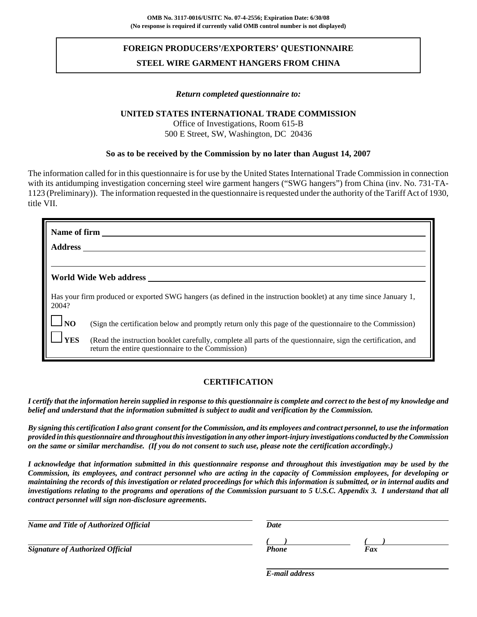# **FOREIGN PRODUCERS'/EXPORTERS' QUESTIONNAIRE STEEL WIRE GARMENT HANGERS FROM CHINA**

#### *Return completed questionnaire to:*

## **UNITED STATES INTERNATIONAL TRADE COMMISSION**

Office of Investigations, Room 615-B 500 E Street, SW, Washington, DC 20436

#### **So as to be received by the Commission by no later than August 14, 2007**

The information called for in this questionnaire is for use by the United States International Trade Commission in connection with its antidumping investigation concerning steel wire garment hangers ("SWG hangers") from China (inv. No. 731-TA-1123 (Preliminary)). The information requested in the questionnaire is requested under the authority of the Tariff Act of 1930, title VII.

| Name of firm<br><b>Address</b> |                                                                                                                                                                     |
|--------------------------------|---------------------------------------------------------------------------------------------------------------------------------------------------------------------|
|                                | World Wide Web address                                                                                                                                              |
| 2004?                          | Has your firm produced or exported SWG hangers (as defined in the instruction booklet) at any time since January 1,                                                 |
| $\Box$ NO                      | (Sign the certification below and promptly return only this page of the questionnaire to the Commission)                                                            |
| <b>YES</b>                     | (Read the instruction booklet carefully, complete all parts of the questionnaire, sign the certification, and<br>return the entire questionnaire to the Commission) |

## **CERTIFICATION**

*I certify that the information herein supplied in response to this questionnaire is complete and correct to the best of my knowledge and belief and understand that the information submitted is subject to audit and verification by the Commission.*

*By signing this certification I also grant consent for the Commission, and its employees and contract personnel, to use the information provided in this questionnaire and throughout this investigation in any other import-injury investigations conducted by the Commission on the same or similar merchandise. (If you do not consent to such use, please note the certification accordingly.)*

*I acknowledge that information submitted in this questionnaire response and throughout this investigation may be used by the Commission, its employees, and contract personnel who are acting in the capacity of Commission employees, for developing or maintaining the records of this investigation or related proceedings for which this information is submitted, or in internal audits and investigations relating to the programs and operations of the Commission pursuant to 5 U.S.C. Appendix 3. I understand that all contract personnel will sign non-disclosure agreements.*

| Name and Title of Authorized Official   | Date  |     |
|-----------------------------------------|-------|-----|
|                                         |       |     |
| <b>Signature of Authorized Official</b> | Phone | Fax |

*E-mail address*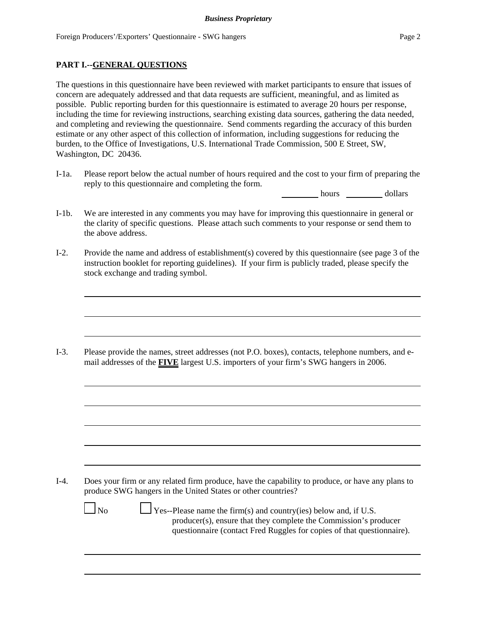## **PART I.--GENERAL QUESTIONS**

The questions in this questionnaire have been reviewed with market participants to ensure that issues of concern are adequately addressed and that data requests are sufficient, meaningful, and as limited as possible. Public reporting burden for this questionnaire is estimated to average 20 hours per response, including the time for reviewing instructions, searching existing data sources, gathering the data needed, and completing and reviewing the questionnaire. Send comments regarding the accuracy of this burden estimate or any other aspect of this collection of information, including suggestions for reducing the burden, to the Office of Investigations, U.S. International Trade Commission, 500 E Street, SW, Washington, DC 20436.

I-1a. Please report below the actual number of hours required and the cost to your firm of preparing the reply to this questionnaire and completing the form.

hours dollars

- I-1b. We are interested in any comments you may have for improving this questionnaire in general or the clarity of specific questions. Please attach such comments to your response or send them to the above address.
- I-2. Provide the name and address of establishment(s) covered by this questionnaire (see page 3 of the instruction booklet for reporting guidelines). If your firm is publicly traded, please specify the stock exchange and trading symbol.

I-3. Please provide the names, street addresses (not P.O. boxes), contacts, telephone numbers, and email addresses of the **FIVE** largest U.S. importers of your firm's SWG hangers in 2006.

I-4. Does your firm or any related firm produce, have the capability to produce, or have any plans to produce SWG hangers in the United States or other countries?

 $\Box$  No  $\Box$  Yes--Please name the firm(s) and country(ies) below and, if U.S. producer(s), ensure that they complete the Commission's producer questionnaire (contact Fred Ruggles for copies of that questionnaire).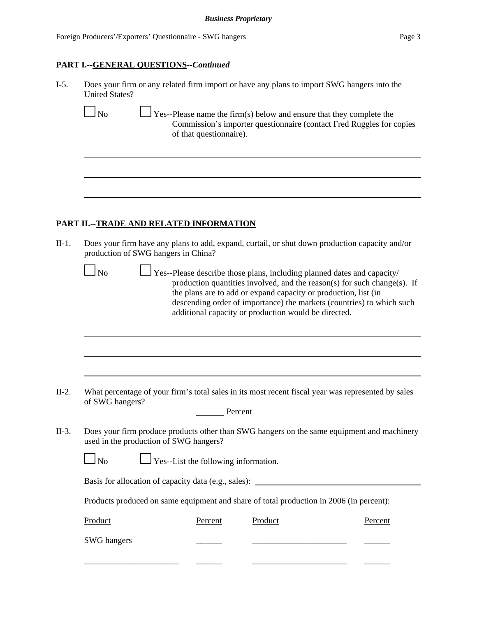#### **PART I.--GENERAL QUESTIONS--***Continued*

I-5. Does your firm or any related firm import or have any plans to import SWG hangers into the United States?

 $\Box$  No  $\Box$  Yes--Please name the firm(s) below and ensure that they complete the Commission's importer questionnaire (contact Fred Ruggles for copies of that questionnaire).

## **PART II.--TRADE AND RELATED INFORMATION**

II-1. Does your firm have any plans to add, expand, curtail, or shut down production capacity and/or production of SWG hangers in China?

 $\Box$  Yes--Please describe those plans, including planned dates and capacity/ production quantities involved, and the reason(s) for such change(s). If the plans are to add or expand capacity or production, list (in descending order of importance) the markets (countries) to which such additional capacity or production would be directed.

II-2. What percentage of your firm's total sales in its most recent fiscal year was represented by sales of SWG hangers?

| Percent |
|---------|
|         |

II-3. Does your firm produce products other than SWG hangers on the same equipment and machinery used in the production of SWG hangers?

| N <sub>o</sub> | $\Box$ Yes--List the following information. |
|----------------|---------------------------------------------|
|----------------|---------------------------------------------|

Basis for allocation of capacity data (e.g., sales): \_\_\_\_\_\_\_\_\_\_\_\_\_\_\_\_\_\_\_\_\_\_\_\_\_\_\_\_

Products produced on same equipment and share of total production in 2006 (in percent):

| Product     | Percent | Product | Percent |
|-------------|---------|---------|---------|
| SWG hangers |         |         |         |
|             |         |         |         |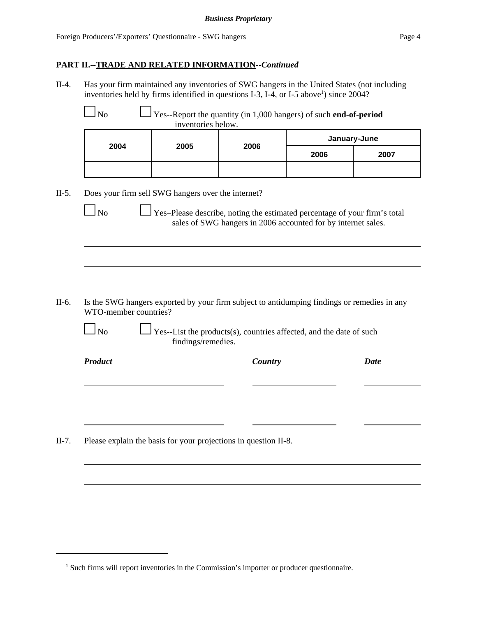## **PART II.--TRADE AND RELATED INFORMATION--***Continued*

II-4. Has your firm maintained any inventories of SWG hangers in the United States (not including inventories held by firms identified in questions I-3, I-4, or I-5 above<sup>1</sup>) since  $2004$ ?

| 2004                  | 2005                                                                                        | 2006                                                          |      | January-June |
|-----------------------|---------------------------------------------------------------------------------------------|---------------------------------------------------------------|------|--------------|
|                       |                                                                                             |                                                               | 2006 | 2007         |
|                       |                                                                                             |                                                               |      |              |
|                       | Does your firm sell SWG hangers over the internet?                                          |                                                               |      |              |
|                       |                                                                                             |                                                               |      |              |
| $\Box$ No             | Yes-Please describe, noting the estimated percentage of your firm's total                   |                                                               |      |              |
|                       |                                                                                             | sales of SWG hangers in 2006 accounted for by internet sales. |      |              |
|                       |                                                                                             |                                                               |      |              |
|                       |                                                                                             |                                                               |      |              |
|                       |                                                                                             |                                                               |      |              |
|                       |                                                                                             |                                                               |      |              |
|                       |                                                                                             |                                                               |      |              |
|                       |                                                                                             |                                                               |      |              |
|                       | Is the SWG hangers exported by your firm subject to antidumping findings or remedies in any |                                                               |      |              |
|                       |                                                                                             |                                                               |      |              |
|                       |                                                                                             |                                                               |      |              |
| $\ln$                 | Yes--List the products(s), countries affected, and the date of such<br>findings/remedies.   |                                                               |      |              |
| WTO-member countries? |                                                                                             |                                                               |      |              |
| <b>Product</b>        |                                                                                             | Country                                                       |      | <b>Date</b>  |
|                       |                                                                                             |                                                               |      |              |
|                       |                                                                                             |                                                               |      |              |
|                       |                                                                                             |                                                               |      |              |
|                       |                                                                                             |                                                               |      |              |

<sup>&</sup>lt;sup>1</sup> Such firms will report inventories in the Commission's importer or producer questionnaire.